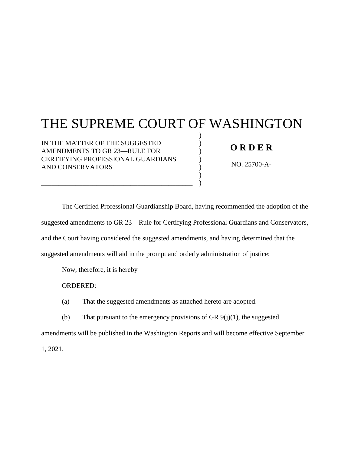**FILED SUPREME COURT STATE OF WASHINGTON JUNE 4, 2021** BY SUSAN L. CARLSON **CLERK** 

# THE SUPREME COURT OF WASHINGTON

) ) ) ) ) )  $\lambda$ 

IN THE MATTER OF THE SUGGESTED AMENDMENTS TO GR 23—RULE FOR CERTIFYING PROFESSIONAL GUARDIANS AND CONSERVATORS

\_\_\_\_\_\_\_\_\_\_\_\_\_\_\_\_\_\_\_\_\_\_\_\_\_\_\_\_\_\_\_\_\_\_\_\_\_\_\_\_\_\_\_\_

## **O R D E R**

NO. 25700-A-

The Certified Professional Guardianship Board, having recommended the adoption of the suggested amendments to GR 23—Rule for Certifying Professional Guardians and Conservators, and the Court having considered the suggested amendments, and having determined that the suggested amendments will aid in the prompt and orderly administration of justice;

Now, therefore, it is hereby

ORDERED:

(a) That the suggested amendments as attached hereto are adopted.

(b) That pursuant to the emergency provisions of GR  $9(j)(1)$ , the suggested

amendments will be published in the Washington Reports and will become effective September

1, 2021.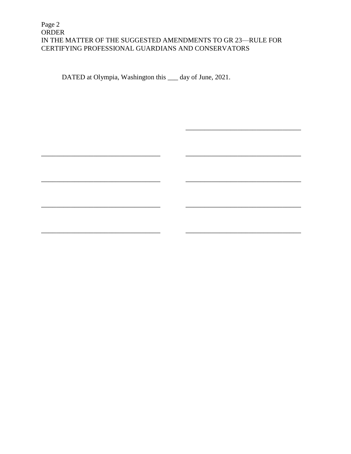## Page 2 ORDER IN THE MATTER OF THE SUGGESTED AMENDMENTS TO GR 23—RULE FOR CERTIFYING PROFESSIONAL GUARDIANS AND CONSERVATORS

DATED at Olympia, Washington this 4th day of June, 2021.

 $2\acute{q}$ lea González,

Johnson

Madsen, J.

Wen Owen

Stephens, J

Gordon McCloud, J.

Montoya

Whitener, J.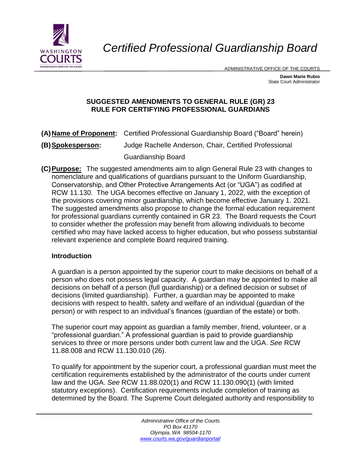

*Certified Professional Guardianship Board*

ADMINISTRATIVE OFFICE OF THE COURTS

**Dawn Marie Rubio** State Court Administrator

## **SUGGESTED AMENDMENTS TO GENERAL RULE (GR) 23 RULE FOR CERTIFYING PROFESSIONAL GUARDIANS**

- **(A)Name of Proponent:** Certified Professional Guardianship Board ("Board" herein)
- **(B)Spokesperson:** Judge Rachelle Anderson, Chair, Certified Professional Guardianship Board
- **(C)Purpose:** The suggested amendments aim to align General Rule 23 with changes to nomenclature and qualifications of guardians pursuant to the Uniform Guardianship, Conservatorship, and Other Protective Arrangements Act (or "UGA") as codified at RCW 11.130. The UGA becomes effective on January 1, 2022, with the exception of the provisions covering minor guardianship, which become effective January 1. 2021. The suggested amendments also propose to change the formal education requirement for professional guardians currently contained in GR 23. The Board requests the Court to consider whether the profession may benefit from allowing individuals to become certified who may have lacked access to higher education, but who possess substantial relevant experience and complete Board required training.

## **Introduction**

A guardian is a person appointed by the superior court to make decisions on behalf of a person who does not possess legal capacity. A guardian may be appointed to make all decisions on behalf of a person (full guardianship) or a defined decision or subset of decisions (limited guardianship). Further, a guardian may be appointed to make decisions with respect to health, safety and welfare of an individual (guardian of the person) or with respect to an individual's finances (guardian of the estate) or both.

The superior court may appoint as guardian a family member, friend, volunteer, or a "professional guardian." A professional guardian is paid to provide guardianship services to three or more persons under both current law and the UGA. *See* RCW 11.88.008 and RCW 11.130.010 (26).

To qualify for appointment by the superior court, a professional guardian must meet the certification requirements established by the administrator of the courts under current law and the UGA. *See* RCW 11.88.020(1) and RCW 11.130.090(1) (with limited statutory exceptions). Certification requirements include completion of training as determined by the Board. The Supreme Court delegated authority and responsibility to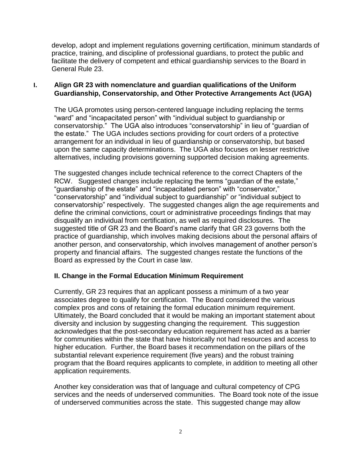develop, adopt and implement regulations governing certification, minimum standards of practice, training, and discipline of professional guardians, to protect the public and facilitate the delivery of competent and ethical guardianship services to the Board in General Rule 23.

## **I. Align GR 23 with nomenclature and guardian qualifications of the Uniform Guardianship, Conservatorship, and Other Protective Arrangements Act (UGA)**

The UGA promotes using person-centered language including replacing the terms "ward" and "incapacitated person" with "individual subject to guardianship or conservatorship." The UGA also introduces "conservatorship" in lieu of "guardian of the estate." The UGA includes sections providing for court orders of a protective arrangement for an individual in lieu of guardianship or conservatorship, but based upon the same capacity determinations. The UGA also focuses on lesser restrictive alternatives, including provisions governing supported decision making agreements.

The suggested changes include technical reference to the correct Chapters of the RCW. Suggested changes include replacing the terms "guardian of the estate," "guardianship of the estate" and "incapacitated person" with "conservator," "conservatorship" and "individual subject to guardianship" or "individual subject to conservatorship" respectively. The suggested changes align the age requirements and define the criminal convictions, court or administrative proceedings findings that may disqualify an individual from certification, as well as required disclosures. The suggested title of GR 23 and the Board's name clarify that GR 23 governs both the practice of guardianship, which involves making decisions about the personal affairs of another person, and conservatorship, which involves management of another person's property and financial affairs. The suggested changes restate the functions of the Board as expressed by the Court in case law.

## **II. Change in the Formal Education Minimum Requirement**

Currently, GR 23 requires that an applicant possess a minimum of a two year associates degree to qualify for certification. The Board considered the various complex pros and cons of retaining the formal education minimum requirement. Ultimately, the Board concluded that it would be making an important statement about diversity and inclusion by suggesting changing the requirement. This suggestion acknowledges that the post-secondary education requirement has acted as a barrier for communities within the state that have historically not had resources and access to higher education. Further, the Board bases it recommendation on the pillars of the substantial relevant experience requirement (five years) and the robust training program that the Board requires applicants to complete, in addition to meeting all other application requirements.

Another key consideration was that of language and cultural competency of CPG services and the needs of underserved communities. The Board took note of the issue of underserved communities across the state. This suggested change may allow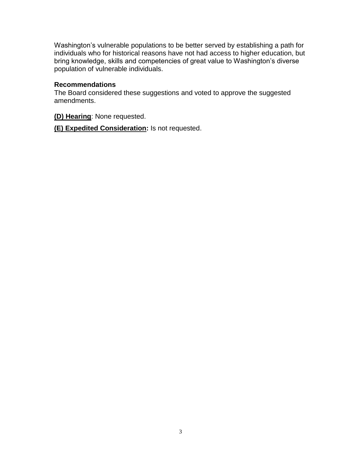Washington's vulnerable populations to be better served by establishing a path for individuals who for historical reasons have not had access to higher education, but bring knowledge, skills and competencies of great value to Washington's diverse population of vulnerable individuals.

#### **Recommendations**

The Board considered these suggestions and voted to approve the suggested amendments.

**(D) Hearing**: None requested.

**(E) Expedited Consideration:** Is not requested.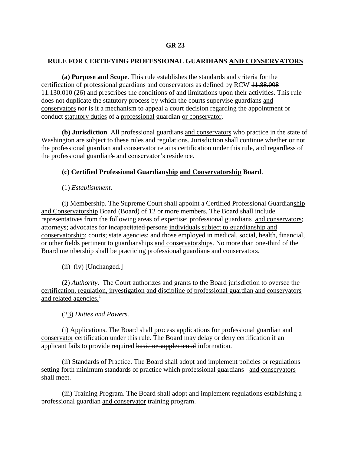#### **RULE FOR CERTIFYING PROFESSIONAL GUARDIANS AND CONSERVATORS**

**(a) Purpose and Scope**. This rule establishes the standards and criteria for the certification of professional guardians and conservators as defined by RCW 11.88.008 11.130.010 (26) and prescribes the conditions of and limitations upon their activities. This rule does not duplicate the statutory process by which the courts supervise guardians and conservators nor is it a mechanism to appeal a court decision regarding the appointment or conduct statutory duties of a professional guardian or conservator.

**(b) Jurisdiction**. All professional guardians and conservators who practice in the state of Washington are subject to these rules and regulations. Jurisdiction shall continue whether or not the professional guardian and conservator retains certification under this rule, and regardless of the professional guardian's and conservator's residence.

#### **(c) Certified Professional Guardianship and Conservatorship Board**.

(1) *Establishment*.

(i) Membership. The Supreme Court shall appoint a Certified Professional Guardianship and Conservatorship Board (Board) of 12 or more members. The Board shall include representatives from the following areas of expertise: professional guardians and conservators; attorneys; advocates for incapacitated persons individuals subject to guardianship and conservatorship; courts; state agencies; and those employed in medical, social, health, financial, or other fields pertinent to guardianships and conservatorships. No more than one-third of the Board membership shall be practicing professional guardians and conservators.

(ii)–(iv) [Unchanged.]

(2) *Authority*. The Court authorizes and grants to the Board jurisdiction to oversee the certification, regulation, investigation and discipline of professional guardian and conservators and related agencies.<sup>1</sup>

(23) *Duties and Powers*.

(i) Applications. The Board shall process applications for professional guardian and conservator certification under this rule. The Board may delay or deny certification if an applicant fails to provide required basic or supplemental information.

(ii) Standards of Practice. The Board shall adopt and implement policies or regulations setting forth minimum standards of practice which professional guardians and conservators shall meet.

(iii) Training Program. The Board shall adopt and implement regulations establishing a professional guardian and conservator training program.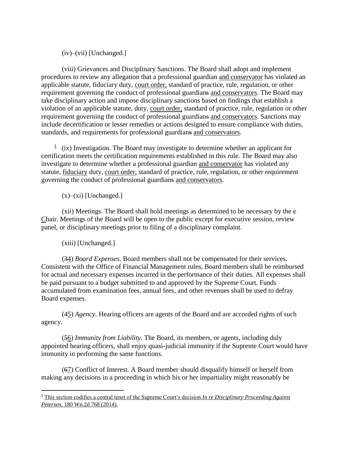(iv)–(vii) [Unchanged.]

(viii) Grievances and Disciplinary Sanctions. The Board shall adopt and implement procedures to review any allegation that a professional guardian and conservator has violated an applicable statute, fiduciary duty, court order, standard of practice, rule, regulation, or other requirement governing the conduct of professional guardians and conservators. The Board may take disciplinary action and impose disciplinary sanctions based on findings that establish a violation of an applicable statute, duty, court order, standard of practice, rule, regulation or other requirement governing the conduct of professional guardians and conservators. Sanctions may include decertification or lesser remedies or actions designed to ensure compliance with duties, standards, and requirements for professional guardians and conservators.

 $\frac{1}{1}$  (ix) Investigation. The Board may investigate to determine whether an applicant for certification meets the certification requirements established in this rule. The Board may also investigate to determine whether a professional guardian and conservator has violated any statute, fiduciary duty, court order, standard of practice, rule, regulation, or other requirement governing the conduct of professional guardians and conservators.

 $(x)$ – $(xi)$  [Unchanged.]

(xii) Meetings. The Board shall hold meetings as determined to be necessary by the c Chair. Meetings of the Board will be open to the public except for executive session, review panel, or disciplinary meetings prior to filing of a disciplinary complaint.

(xiii) [Unchanged.]

 $\overline{a}$ 

(34) *Board Expenses*. Board members shall not be compensated for their services. Consistent with the Office of Financial Management rules, Board members shall be reimbursed for actual and necessary expenses incurred in the performance of their duties. All expenses shall be paid pursuant to a budget submitted to and approved by the Supreme Court. Funds accumulated from examination fees, annual fees, and other revenues shall be used to defray Board expenses.

(45) *Agency*. Hearing officers are agents of the Board and are accorded rights of such agency.

(56) *Immunity from Liability*. The Board, its members, or agents, including duly appointed hearing officers, shall enjoy quasi-judicial immunity if the Supreme Court would have immunity in performing the same functions.

(67) Conflict of Interest. A Board member should disqualify himself or herself from making any decisions in a proceeding in which his or her impartiality might reasonably be

<sup>1</sup> This section codifies a central tenet of the Supreme Court's decision *In re Disciplinary Proceeding Against Petersen*, 180 Wn.2d 768 (2014).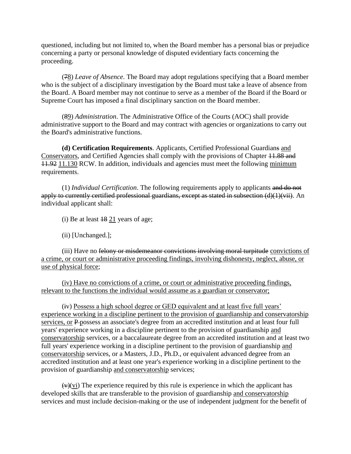questioned, including but not limited to, when the Board member has a personal bias or prejudice concerning a party or personal knowledge of disputed evidentiary facts concerning the proceeding.

(78) *Leave of Absence*. The Board may adopt regulations specifying that a Board member who is the subject of a disciplinary investigation by the Board must take a leave of absence from the Board. A Board member may not continue to serve as a member of the Board if the Board or Supreme Court has imposed a final disciplinary sanction on the Board member.

(89) *Administration*. The Administrative Office of the Courts (AOC) shall provide administrative support to the Board and may contract with agencies or organizations to carry out the Board's administrative functions.

**(d) Certification Requirements**. Applicants, Certified Professional Guardians and Conservators, and Certified Agencies shall comply with the provisions of Chapter 11.88 and 11.92 11.130 RCW. In addition, individuals and agencies must meet the following minimum requirements.

(1) *Individual Certification*. The following requirements apply to applicants and do not apply to currently certified professional guardians, except as stated in subsection (d)(1)(vii). An individual applicant shall:

(i) Be at least  $18\ 21$  years of age;

(ii) [Unchanged.];

(iii) Have no felony or misdemeanor convictions involving moral turpitude convictions of a crime, or court or administrative proceeding findings, involving dishonesty, neglect, abuse, or use of physical force;

(iv) Have no convictions of a crime, or court or administrative proceeding findings, relevant to the functions the individual would assume as a guardian or conservator;

(iv) Possess a high school degree or GED equivalent and at least five full years' experience working in a discipline pertinent to the provision of guardianship and conservatorship services, or P possess an associate's degree from an accredited institution and at least four full years' experience working in a discipline pertinent to the provision of guardianship and conservatorship services, or a baccalaureate degree from an accredited institution and at least two full years' experience working in a discipline pertinent to the provision of guardianship and conservatorship services, or a Masters, J.D., Ph.D., or equivalent advanced degree from an accredited institution and at least one year's experience working in a discipline pertinent to the provision of guardianship and conservatorship services;

 $(v)(vi)$  The experience required by this rule is experience in which the applicant has developed skills that are transferable to the provision of guardianship and conservatorship services and must include decision-making or the use of independent judgment for the benefit of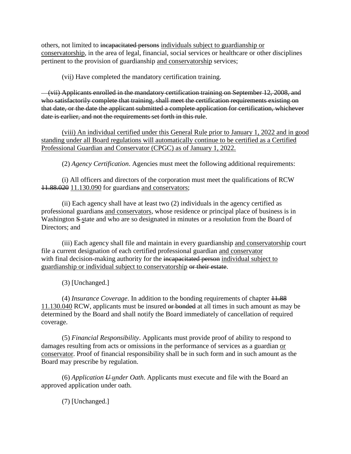others, not limited to incapacitated persons individuals subject to guardianship or conservatorship, in the area of legal, financial, social services or healthcare or other disciplines pertinent to the provision of guardianship and conservatorship services;

(vii) Have completed the mandatory certification training.

 (vii) Applicants enrolled in the mandatory certification training on September 12, 2008, and who satisfactorily complete that training, shall meet the certification requirements existing on that date, or the date the applicant submitted a complete application for certification, whichever date is earlier, and not the requirements set forth in this rule.

(viii) An individual certified under this General Rule prior to January 1, 2022 and in good standing under all Board regulations will automatically continue to be certified as a Certified Professional Guardian and Conservator (CPGC) as of January 1, 2022.

(2) *Agency Certification*. Agencies must meet the following additional requirements:

(i) All officers and directors of the corporation must meet the qualifications of RCW 11.88.020 11.130.090 for guardians and conservators;

(ii) Each agency shall have at least two (2) individuals in the agency certified as professional guardians and conservators, whose residence or principal place of business is in Washington S-state and who are so designated in minutes or a resolution from the Board of Directors; and

(iii) Each agency shall file and maintain in every guardianship and conservatorship court file a current designation of each certified professional guardian and conservator with final decision-making authority for the incapacitated person individual subject to guardianship or individual subject to conservatorship or their estate.

(3) [Unchanged.]

(4) *Insurance Coverage*. In addition to the bonding requirements of chapter 11.88 11.130.040 RCW, applicants must be insured or bonded at all times in such amount as may be determined by the Board and shall notify the Board immediately of cancellation of required coverage.

(5) *Financial Responsibility*. Applicants must provide proof of ability to respond to damages resulting from acts or omissions in the performance of services as a guardian or conservator. Proof of financial responsibility shall be in such form and in such amount as the Board may prescribe by regulation.

(6) *Application U under Oath*. Applicants must execute and file with the Board an approved application under oath.

(7) [Unchanged.]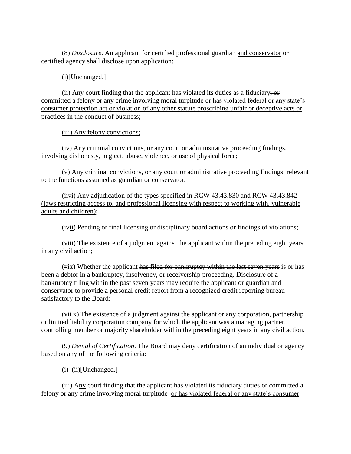(8) *Disclosure*. An applicant for certified professional guardian and conservator or certified agency shall disclose upon application:

(i)[Unchanged.]

(ii) Any court finding that the applicant has violated its duties as a fiduciary,  $\Theta$ committed a felony or any crime involving moral turpitude or has violated federal or any state's consumer protection act or violation of any other statute proscribing unfair or deceptive acts or practices in the conduct of business;

(iii) Any felony convictions;

(iv) Any criminal convictions, or any court or administrative proceeding findings, involving dishonesty, neglect, abuse, violence, or use of physical force;

(v) Any criminal convictions, or any court or administrative proceeding findings, relevant to the functions assumed as guardian or conservator;

(iivi) Any adjudication of the types specified in RCW 43.43.830 and RCW 43.43.842 (laws restricting access to, and professional licensing with respect to working with, vulnerable adults and children);

(ivii) Pending or final licensing or disciplinary board actions or findings of violations;

(viii) The existence of a judgment against the applicant within the preceding eight years in any civil action;

 $(vix)$  Whether the applicant has filed for bankruptcy within the last seven years is or has been a debtor in a bankruptcy, insolvency, or receivership proceeding. Disclosure of a bankruptcy filing within the past seven years may require the applicant or guardian and conservator to provide a personal credit report from a recognized credit reporting bureau satisfactory to the Board;

 $(vii)$  x) The existence of a judgment against the applicant or any corporation, partnership or limited liability corporation company for which the applicant was a managing partner, controlling member or majority shareholder within the preceding eight years in any civil action.

(9) *Denial of Certification*. The Board may deny certification of an individual or agency based on any of the following criteria:

 $(i)$ – $(ii)$ [Unchanged.]

(iii) Any court finding that the applicant has violated its fiduciary duties or committed a felony or any crime involving moral turpitude or has violated federal or any state's consumer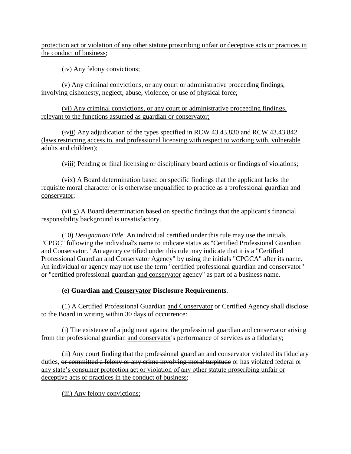protection act or violation of any other statute proscribing unfair or deceptive acts or practices in the conduct of business;

(iv) Any felony convictions;

(v) Any criminal convictions, or any court or administrative proceeding findings, involving dishonesty, neglect, abuse, violence, or use of physical force;

(vi) Any criminal convictions, or any court or administrative proceeding findings, relevant to the functions assumed as guardian or conservator;

(ivii) Any adjudication of the types specified in RCW 43.43.830 and RCW 43.43.842 (laws restricting access to, and professional licensing with respect to working with, vulnerable adults and children);

(viii) Pending or final licensing or disciplinary board actions or findings of violations;

(vix) A Board determination based on specific findings that the applicant lacks the requisite moral character or is otherwise unqualified to practice as a professional guardian and conservator;

 $(vii)$  A Board determination based on specific findings that the applicant's financial responsibility background is unsatisfactory.

(10) *Designation*/*Title*. An individual certified under this rule may use the initials "CPGC" following the individual's name to indicate status as "Certified Professional Guardian and Conservator." An agency certified under this rule may indicate that it is a "Certified Professional Guardian and Conservator Agency" by using the initials "CPGCA" after its name. An individual or agency may not use the term "certified professional guardian and conservator" or "certified professional guardian and conservator agency" as part of a business name.

## **(e) Guardian and Conservator Disclosure Requirements**.

(1) A Certified Professional Guardian and Conservator or Certified Agency shall disclose to the Board in writing within 30 days of occurrence:

(i) The existence of a judgment against the professional guardian and conservator arising from the professional guardian and conservator's performance of services as a fiduciary;

(ii) Any court finding that the professional guardian and conservator violated its fiduciary duties, or committed a felony or any crime involving moral turpitude or has violated federal or any state's consumer protection act or violation of any other statute proscribing unfair or deceptive acts or practices in the conduct of business;

(iii) Any felony convictions;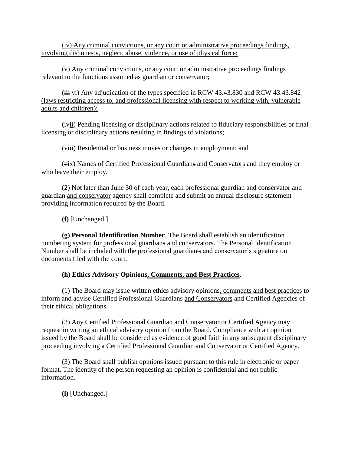(iv) Any criminal convictions, or any court or administrative proceedings findings, involving dishonesty, neglect, abuse, violence, or use of physical force;

(v) Any criminal convictions, or any court or administrative proceedings findings relevant to the functions assumed as guardian or conservator;

 $(iii$  vi) Any adjudication of the types specified in RCW 43.43.830 and RCW 43.43.842 (laws restricting access to, and professional licensing with respect to working with, vulnerable adults and children);

(ivii) Pending licensing or disciplinary actions related to fiduciary responsibilities or final licensing or disciplinary actions resulting in findings of violations;

(viii) Residential or business moves or changes in employment; and

(vix) Names of Certified Professional Guardians and Conservators and they employ or who leave their employ.

(2) Not later than June 30 of each year, each professional guardian and conservator and guardian and conservator agency shall complete and submit an annual disclosure statement providing information required by the Board.

**(f)** [Unchanged.]

**(g) Personal Identification Number**. The Board shall establish an identification numbering system for professional guardians and conservators. The Personal Identification Number shall be included with the professional guardian's and conservator's signature on documents filed with the court.

## **(h) Ethics Advisory Opinions, Comments, and Best Practices**.

(1) The Board may issue written ethics advisory opinions, comments and best practices to inform and advise Certified Professional Guardians and Conservators and Certified Agencies of their ethical obligations.

(2) Any Certified Professional Guardian and Conservator or Certified Agency may request in writing an ethical advisory opinion from the Board. Compliance with an opinion issued by the Board shall be considered as evidence of good faith in any subsequent disciplinary proceeding involving a Certified Professional Guardian and Conservator or Certified Agency.

(3) The Board shall publish opinions issued pursuant to this rule in electronic or paper format. The identity of the person requesting an opinion is confidential and not public information.

**(i)** [Unchanged.]